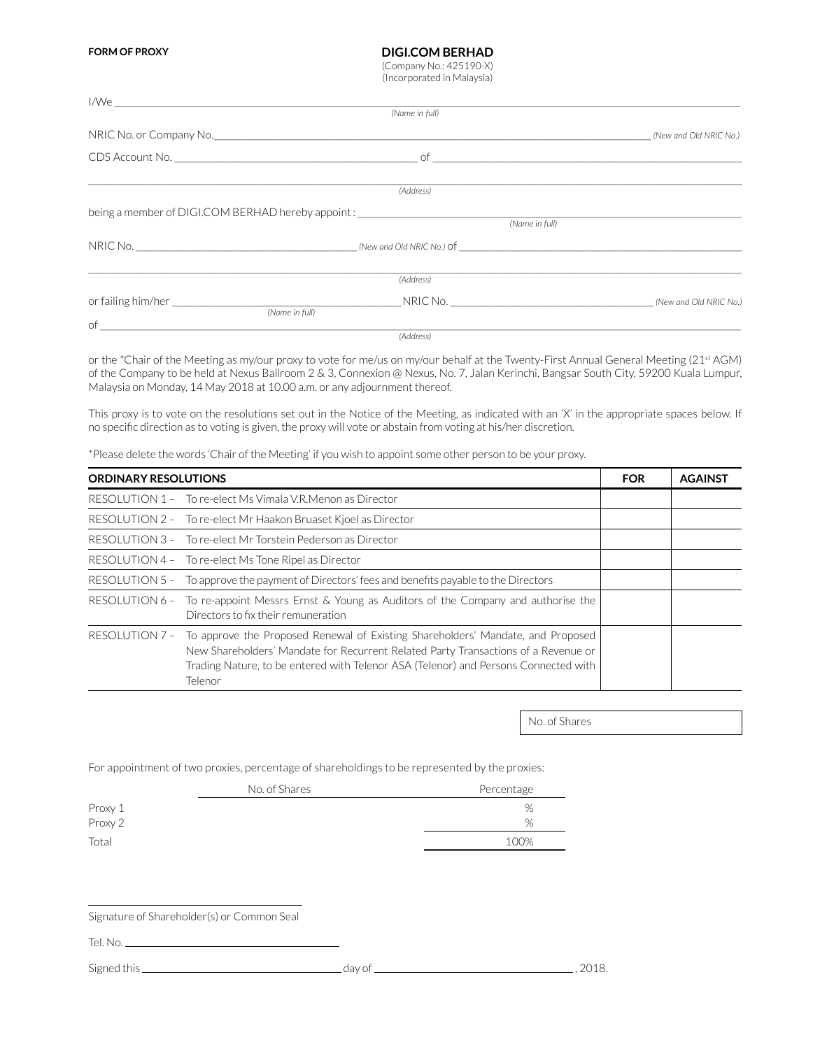**FORM OF PROXY**

## **DIGI.COM BERHAD** (Company No.: 425190-X)

(Incorporated in Malaysia)

|                                                                                  | (Name in full) |                        |
|----------------------------------------------------------------------------------|----------------|------------------------|
|                                                                                  |                | (New and Old NRIC No.) |
|                                                                                  |                |                        |
|                                                                                  | (Address)      |                        |
| being a member of DIGI.COM BERHAD hereby appoint: ______________________________ |                |                        |
|                                                                                  | (Name in full) |                        |
|                                                                                  | NRIC No.       |                        |
|                                                                                  | (Address)      |                        |
|                                                                                  |                |                        |
| (Name in full)                                                                   |                |                        |
| $\circ$ f                                                                        | (Address)      |                        |

or the \*Chair of the Meeting as my/our proxy to vote for me/us on my/our behalf at the Twenty-First Annual General Meeting (21st AGM) of the Company to be held at Nexus Ballroom 2 & 3, Connexion @ Nexus, No. 7, Jalan Kerinchi, Bangsar South City, 59200 Kuala Lumpur, Malaysia on Monday, 14 May 2018 at 10.00 a.m. or any adjournment thereof.

This proxy is to vote on the resolutions set out in the Notice of the Meeting, as indicated with an 'X' in the appropriate spaces below. If no specific direction as to voting is given, the proxy will vote or abstain from voting at his/her discretion.

\*Please delete the words 'Chair of the Meeting' if you wish to appoint some other person to be your proxy.

| <b>ORDINARY RESOLUTIONS</b> |                                                                                                                                                                                                                                                                         | <b>FOR</b> | <b>AGAINST</b> |
|-----------------------------|-------------------------------------------------------------------------------------------------------------------------------------------------------------------------------------------------------------------------------------------------------------------------|------------|----------------|
|                             | RESOLUTION 1 - To re-elect Ms Vimala V.R. Menon as Director                                                                                                                                                                                                             |            |                |
|                             | RESOLUTION 2 - To re-elect Mr Haakon Bruaset Kjoel as Director                                                                                                                                                                                                          |            |                |
|                             | RESOLUTION 3 - To re-elect Mr Torstein Pederson as Director                                                                                                                                                                                                             |            |                |
|                             | RESOLUTION 4 - To re-elect Ms Tone Ripel as Director                                                                                                                                                                                                                    |            |                |
| RESOLUTION 5 –              | To approve the payment of Directors' fees and benefits payable to the Directors                                                                                                                                                                                         |            |                |
| RESOLUTION 6 -              | To re-appoint Messrs Ernst & Young as Auditors of the Company and authorise the<br>Directors to fix their remuneration                                                                                                                                                  |            |                |
| RESOLUTION 7 -              | To approve the Proposed Renewal of Existing Shareholders' Mandate, and Proposed<br>New Shareholders' Mandate for Recurrent Related Party Transactions of a Revenue or<br>Trading Nature, to be entered with Telenor ASA (Telenor) and Persons Connected with<br>Telenor |            |                |

No. of Shares

For appointment of two proxies, percentage of shareholdings to be represented by the proxies:

|         | No. of Shares | Percentage |
|---------|---------------|------------|
| Proxy 1 |               | %          |
| Proxy 2 |               | %          |
| Total   |               | 100%       |
|         |               |            |

Signature of Shareholder(s) or Common Seal

Tel. No.

Signed this day of , 2018.